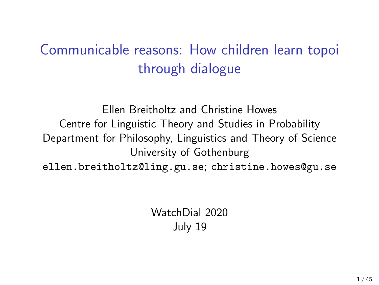# Communicable reasons: How children learn topoi through dialogue

Ellen Breitholtz and Christine Howes Centre for Linguistic Theory and Studies in Probability Department for Philosophy, Linguistics and Theory of Science University of Gothenburg ellen.breitholtz@ling.gu.se; christine.howes@gu.se

> WatchDial 2020 July 19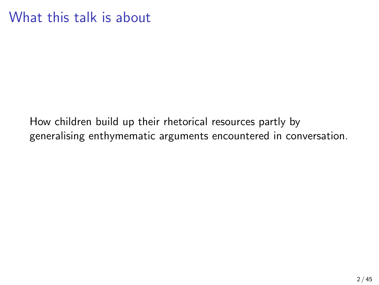### What this talk is about

How children build up their rhetorical resources partly by generalising enthymematic arguments encountered in conversation.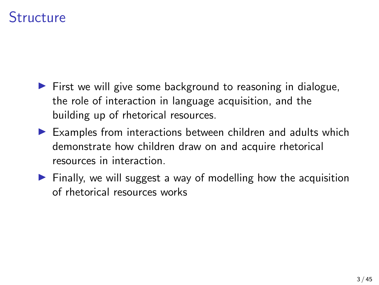### **Structure**

- $\triangleright$  First we will give some background to reasoning in dialogue, the role of interaction in language acquisition, and the building up of rhetorical resources.
- $\blacktriangleright$  Examples from interactions between children and adults which demonstrate how children draw on and acquire rhetorical resources in interaction.
- $\triangleright$  Finally, we will suggest a way of modelling how the acquisition of rhetorical resources works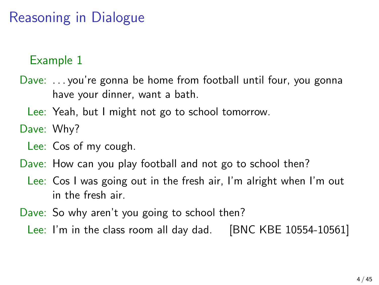# Reasoning in Dialogue

### Example 1

- Dave: . . . you're gonna be home from football until four, you gonna have your dinner, want a bath.
	- Lee: Yeah, but I might not go to school tomorrow.
- Dave: Why?
	- Lee: Cos of my cough.
- Dave: How can you play football and not go to school then?
	- Lee: Cos I was going out in the fresh air, I'm alright when I'm out in the fresh air.
- <span id="page-3-0"></span>Dave: So why aren't you going to school then?
	- Lee: I'm in the class room all day dad. [BNC KBE 10554-10561]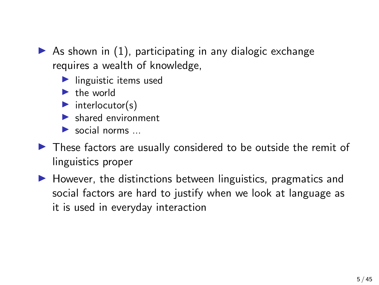As shown in  $(1)$ , participating in any dialogic exchange requires a wealth of knowledge,

- $\blacktriangleright$  linguistic items used
- $\blacktriangleright$  the world
- $\blacktriangleright$  interlocutor(s)
- $\blacktriangleright$  shared environment

 $\blacktriangleright$  social norms

- $\triangleright$  These factors are usually considered to be outside the remit of linguistics proper
- $\blacktriangleright$  However, the distinctions between linguistics, pragmatics and social factors are hard to justify when we look at language as it is used in everyday interaction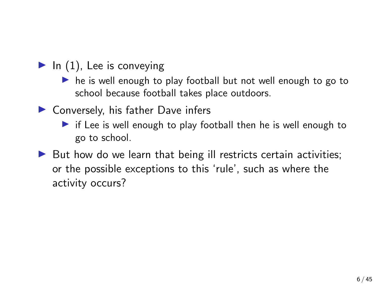- $\blacktriangleright$  In [\(1\)](#page-3-0), Lee is conveying
	- $\triangleright$  he is well enough to play football but not well enough to go to school because football takes place outdoors.
- $\blacktriangleright$  Conversely, his father Dave infers
	- $\triangleright$  if Lee is well enough to play football then he is well enough to go to school.
- $\triangleright$  But how do we learn that being ill restricts certain activities; or the possible exceptions to this 'rule', such as where the activity occurs?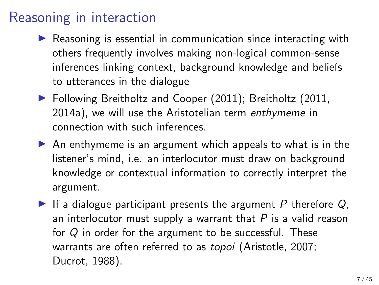### Reasoning in interaction

- $\triangleright$  Reasoning is essential in communication since interacting with others frequently involves making non-logical common-sense inferences linking context, background knowledge and beliefs to utterances in the dialogue
- ▶ Following [Breitholtz and Cooper \(2011\)](#page-45-0); [Breitholtz \(2011,](#page-45-1) [2014a\)](#page-45-2), we will use the Aristotelian term enthymeme in connection with such inferences.
- $\triangleright$  An enthymeme is an argument which appeals to what is in the listener's mind, i.e. an interlocutor must draw on background knowledge or contextual information to correctly interpret the argument.
- If a dialogue participant presents the argument P therefore  $Q$ , an interlocutor must supply a warrant that  $P$  is a valid reason for  $Q$  in order for the argument to be successful. These warrants are often referred to as topoi [\(Aristotle, 2007;](#page-45-3) [Ducrot, 1988\)](#page-47-0).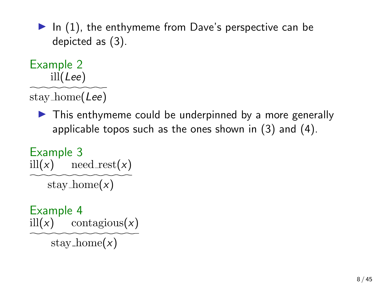$\blacktriangleright$  In [\(1\)](#page-3-0), the enthymeme from Dave's perspective can be depicted as [\(3\)](#page-7-0).

Example 2 ill(Lee)

stay home(Lee)

 $\triangleright$  This enthymeme could be underpinned by a more generally applicable topos such as the ones shown in [\(3\)](#page-7-1) and [\(4\)](#page-7-2).

<span id="page-7-1"></span>Example 3 ill(x) need\_rest(x) stay\_home $(x)$ 

<span id="page-7-2"></span><span id="page-7-0"></span>Example 4 ill(x) contagious(x)

stay\_home $(x)$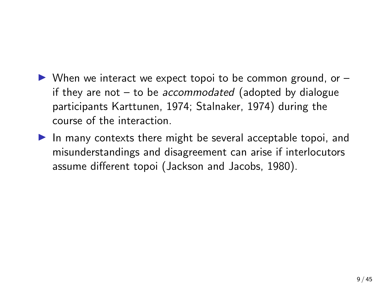- $\triangleright$  When we interact we expect topoi to be common ground, or  $\rightarrow$ if they are not  $-$  to be accommodated (adopted by dialogue participants [Karttunen, 1974;](#page-49-0) [Stalnaker, 1974\)](#page-49-1) during the course of the interaction.
- In many contexts there might be several acceptable topoi, and misunderstandings and disagreement can arise if interlocutors assume different topoi [\(Jackson and Jacobs, 1980\)](#page-48-0).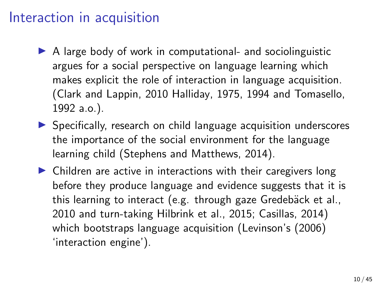### Interaction in acquisition

- $\triangleright$  A large body of work in computational- and sociolinguistic argues for a social perspective on language learning which makes explicit the role of interaction in language acquisition. [\(Clark and Lappin, 2010](#page-46-0) [Halliday, 1975,](#page-48-1) [1994](#page-48-2) and [Tomasello,](#page-50-0) [1992](#page-50-0) a.o.).
- $\triangleright$  Specifically, research on child language acquisition underscores the importance of the social environment for the language learning child [\(Stephens and Matthews, 2014\)](#page-49-2).
- $\triangleright$  Children are active in interactions with their caregivers long before they produce language and evidence suggests that it is this learning to interact (e.g. through gaze Gredebäck et al., [2010](#page-48-3) and turn-taking [Hilbrink et al., 2015;](#page-48-4) [Casillas, 2014\)](#page-46-1) which bootstraps language acquisition (Levinson's [\(2006\)](#page-49-3) 'interaction engine').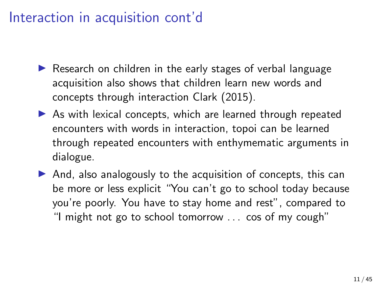## Interaction in acquisition cont'd

- $\triangleright$  Research on children in the early stages of verbal language acquisition also shows that children learn new words and concepts through interaction [Clark \(2015\)](#page-46-2).
- $\triangleright$  As with lexical concepts, which are learned through repeated encounters with words in interaction, topoi can be learned through repeated encounters with enthymematic arguments in dialogue.
- $\triangleright$  And, also analogously to the acquisition of concepts, this can be more or less explicit "You can't go to school today because you're poorly. You have to stay home and rest", compared to "I might not go to school tomorrow . . . cos of my cough"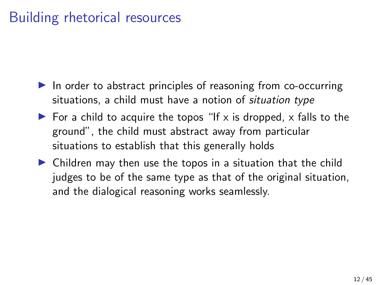## Building rhetorical resources

- $\blacktriangleright$  In order to abstract principles of reasoning from co-occurring situations, a child must have a notion of *situation type*
- $\triangleright$  For a child to acquire the topos "If x is dropped, x falls to the ground", the child must abstract away from particular situations to establish that this generally holds
- $\triangleright$  Children may then use the topos in a situation that the child judges to be of the same type as that of the original situation, and the dialogical reasoning works seamlessly.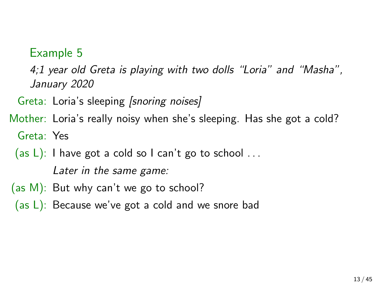### Example 5

<span id="page-12-0"></span>4;1 year old Greta is playing with two dolls "Loria" and "Masha", January 2020

Greta: Loria's sleeping [snoring noises]

Mother: Loria's really noisy when she's sleeping. Has she got a cold? Greta: Yes

(as L): I have got a cold so I can't go to school  $\dots$ 

Later in the same game:

- (as M): But why can't we go to school?
- (as L): Because we've got a cold and we snore bad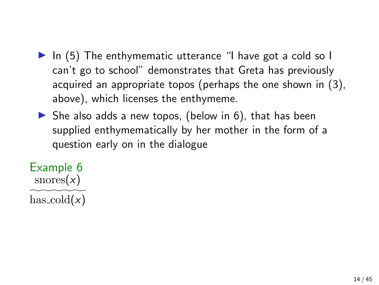- In  $(5)$  The enthymematic utterance "I have got a cold so I can't go to school" demonstrates that Greta has previously acquired an appropriate topos (perhaps the one shown in [\(3\)](#page-7-1), above), which licenses the enthymeme.
- $\triangleright$  She also adds a new topos, (below in [6\)](#page-13-0), that has been supplied enthymematically by her mother in the form of a question early on in the dialogue

<span id="page-13-0"></span>Example 6  $\text{snores}(x)$ has  $\text{cold}(x)$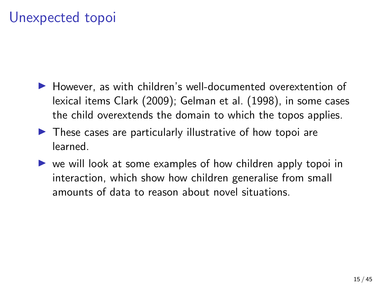## Unexpected topoi

- $\blacktriangleright$  However, as with children's well-documented overextention of lexical items [Clark \(2009\)](#page-46-3); [Gelman et al. \(1998\)](#page-47-1), in some cases the child overextends the domain to which the topos applies.
- $\blacktriangleright$  These cases are particularly illustrative of how topoi are learned.
- $\triangleright$  we will look at some examples of how children apply topoi in interaction, which show how children generalise from small amounts of data to reason about novel situations.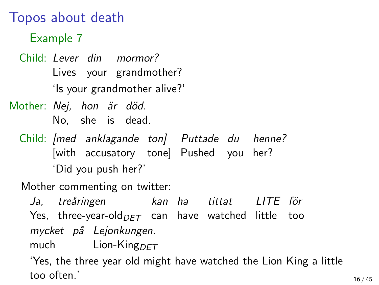### Topos about death

Example 7

Child: Lever din mormor? Lives your grandmother? 'Is your grandmother alive?'

Mother: Nej, hon är död. No, she is dead.

Child: [med anklagande ton] Puttade du henne? [with accusatory tone] Pushed you her? 'Did you push her?'

Mother commenting on twitter:

Ja, treåringen Yes, three-year-old $_{DET}$  can have watched little too kan ha tittat LITE för mycket på Lejonkungen.

much Lion-King $DFT$ 

<span id="page-15-0"></span>'Yes, the three year old might have watched the Lion King a little too often.'  $16 / 45$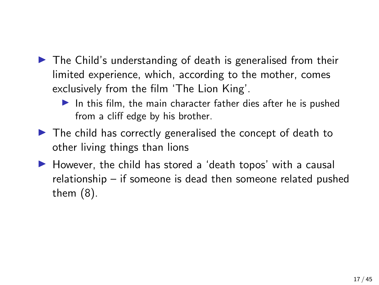- $\triangleright$  The Child's understanding of death is generalised from their limited experience, which, according to the mother, comes exclusively from the film 'The Lion King'.
	- In this film, the main character father dies after he is pushed from a cliff edge by his brother.
- $\triangleright$  The child has correctly generalised the concept of death to other living things than lions
- $\blacktriangleright$  However, the child has stored a 'death topos' with a causal relationship – if someone is dead then someone related pushed them [\(8\)](#page-17-0).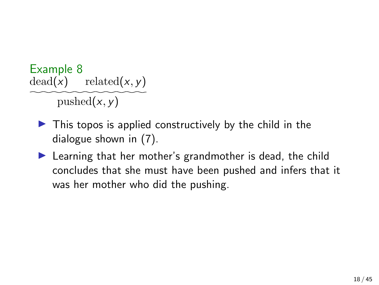Example 8  $dead(x)$  related(x, y) pushed $(x, y)$ 

- <span id="page-17-0"></span> $\blacktriangleright$  This topos is applied constructively by the child in the dialogue shown in [\(7\)](#page-15-0).
- $\blacktriangleright$  Learning that her mother's grandmother is dead, the child concludes that she must have been pushed and infers that it was her mother who did the pushing.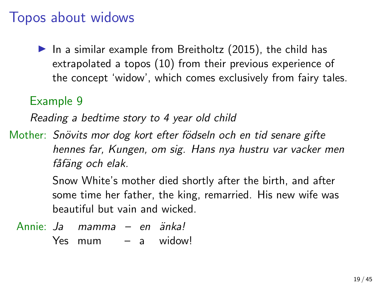### Topos about widows

In a similar example from Breitholtz  $(2015)$ , the child has extrapolated a topos [\(10\)](#page-19-0) from their previous experience of the concept 'widow', which comes exclusively from fairy tales.

### Example 9

Reading a bedtime story to 4 year old child

Mother: Snövits mor dog kort efter födseln och en tid senare gifte hennes far, Kungen, om sig. Hans nya hustru var vacker men fåfäng och elak.

> Snow White's mother died shortly after the birth, and after some time her father, the king, remarried. His new wife was beautiful but vain and wicked.

Annie: Ja mamma – en änka! Yes mum – a widow!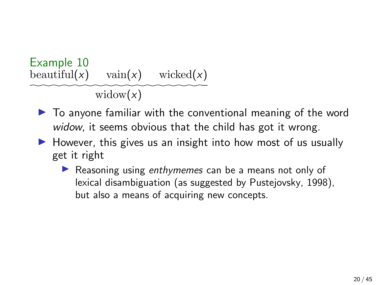<span id="page-19-0"></span>

- $\triangleright$  To anyone familiar with the conventional meaning of the word widow, it seems obvious that the child has got it wrong.
- $\blacktriangleright$  However, this gives us an insight into how most of us usually get it right
	- Reasoning using enthymemes can be a means not only of lexical disambiguation (as suggested by [Pustejovsky, 1998\)](#page-49-4), but also a means of acquiring new concepts.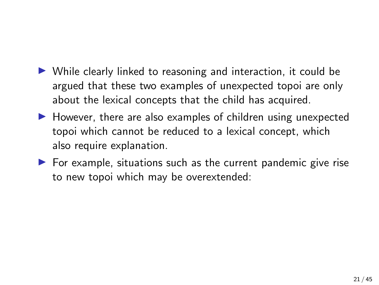- $\triangleright$  While clearly linked to reasoning and interaction, it could be argued that these two examples of unexpected topoi are only about the lexical concepts that the child has acquired.
- $\blacktriangleright$  However, there are also examples of children using unexpected topoi which cannot be reduced to a lexical concept, which also require explanation.
- $\triangleright$  For example, situations such as the current pandemic give rise to new topoi which may be overextended: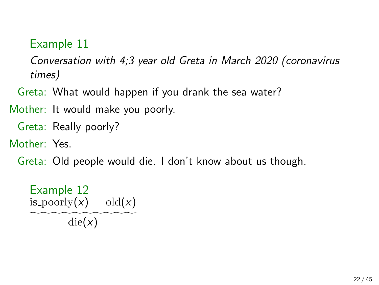### Example 11

<span id="page-21-0"></span>Conversation with 4;3 year old Greta in March 2020 (coronavirus times)

Greta: What would happen if you drank the sea water?

Mother: It would make you poorly.

Greta: Really poorly?

Mother: Yes.

Greta: Old people would die. I don't know about us though.

Example 12 is poorly $(x)$  old $(x)$  $\text{die}(x)$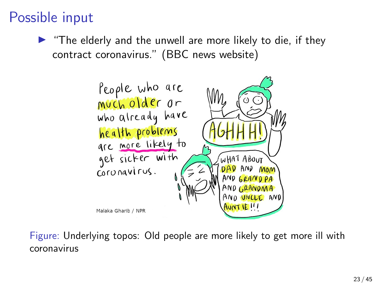# Possible input

 $\blacktriangleright$  "The elderly and the unwell are more likely to die, if they contract coronavirus." (BBC news website)



Figure: Underlying topos: Old people are more likely to get more ill with coronavirus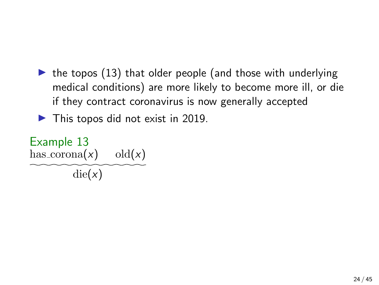$\triangleright$  the topos [\(13\)](#page-23-0) that older people (and those with underlying medical conditions) are more likely to become more ill, or die if they contract coronavirus is now generally accepted

 $\blacktriangleright$  This topos did not exist in 2019.

<span id="page-23-0"></span>Example 13 has  $\text{corona}(x)$  old $(x)$  $\text{die}(x)$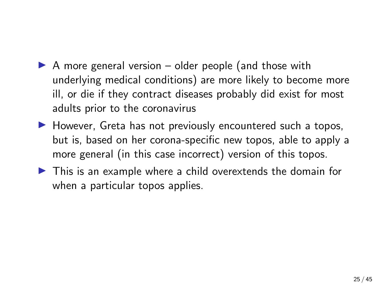- $\triangleright$  A more general version older people (and those with underlying medical conditions) are more likely to become more ill, or die if they contract diseases probably did exist for most adults prior to the coronavirus
- $\blacktriangleright$  However, Greta has not previously encountered such a topos, but is, based on her corona-specific new topos, able to apply a more general (in this case incorrect) version of this topos.
- $\triangleright$  This is an example where a child overextends the domain for when a particular topos applies.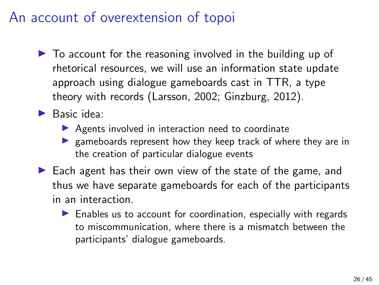### An account of overextension of topoi

- $\triangleright$  To account for the reasoning involved in the building up of rhetorical resources, we will use an information state update approach using dialogue gameboards cast in TTR, a type theory with records [\(Larsson, 2002;](#page-49-5) [Ginzburg, 2012\)](#page-47-2).
- $\blacktriangleright$  Basic idea:
	- $\triangleright$  Agents involved in interaction need to coordinate
	- $\triangleright$  gameboards represent how they keep track of where they are in the creation of particular dialogue events
- $\blacktriangleright$  Each agent has their own view of the state of the game, and thus we have separate gameboards for each of the participants in an interaction.
	- $\blacktriangleright$  Enables us to account for coordination, especially with regards to miscommunication, where there is a mismatch between the participants' dialogue gameboards.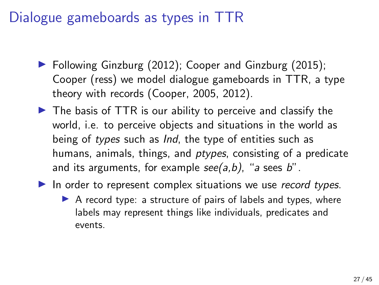## Dialogue gameboards as types in TTR

- $\triangleright$  Following [Ginzburg \(2012\)](#page-47-2); [Cooper and Ginzburg \(2015\)](#page-47-3); [Cooper \(ress\)](#page-47-4) we model dialogue gameboards in TTR, a type theory with records [\(Cooper, 2005,](#page-46-4) [2012\)](#page-47-5).
- $\triangleright$  The basis of TTR is our ability to perceive and classify the world, i.e. to perceive objects and situations in the world as being of types such as *Ind*, the type of entities such as humans, animals, things, and *ptypes*, consisting of a predicate and its arguments, for example  $see (a, b)$ , "a sees b".
- In order to represent complex situations we use record types.
	- $\triangleright$  A record type: a structure of pairs of labels and types, where labels may represent things like individuals, predicates and events.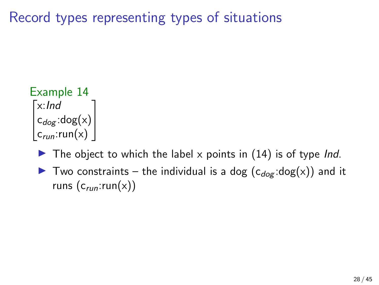Record types representing types of situations

```
Example 14
\lceil x: \text{Ind} \rceil\bigg| c_{dog} : \text{dog}(x)c<sub>run</sub>:run(x)
                              1
                              \overline{a}
```
- $\blacktriangleright$  The object to which the label x points in [\(14\)](#page-27-0) is of type *Ind*.
- $\triangleright$  Two constraints the individual is a dog  $(c_{dog} : dog(x))$  and it runs  $(c_{run}:run(x))$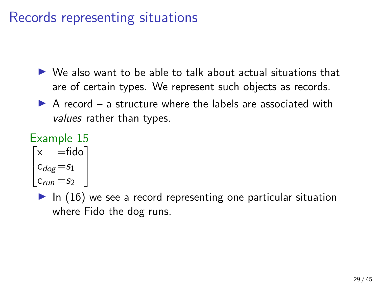## Records representing situations

- $\triangleright$  We also want to be able to talk about actual situations that are of certain types. We represent such objects as records.
- $\triangleright$  A record a structure where the labels are associated with values rather than types.

#### <span id="page-28-0"></span>Example 15  $\sqrt{ }$  $\overline{\phantom{a}}$  $\times$   $=$ fido  $c_{dog} = s_1$  $c_{run} = s_2$ 1  $\overline{1}$

 $\blacktriangleright$  In [\(16\)](#page-28-0) we see a record representing one particular situation where Fido the dog runs.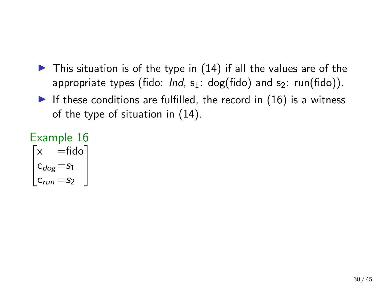- $\triangleright$  This situation is of the type in [\(14\)](#page-27-0) if all the values are of the appropriate types (fido: Ind,  $s_1$ : dog(fido) and  $s_2$ : run(fido)).
- If these conditions are fulfilled, the record in  $(16)$  is a witness of the type of situation in [\(14\)](#page-27-0).

$$
\begin{bmatrix}\n x & =\n \text{fido} \\
 x & =\n \text{fido} \\
 c_{dog} = s_1 \\
 c_{run} = s_2\n \end{bmatrix}
$$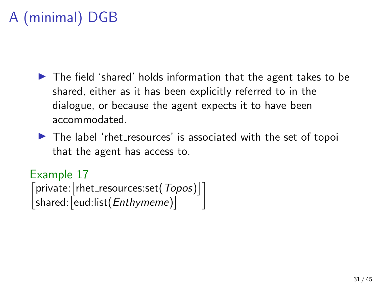# A (minimal) DGB

- $\blacktriangleright$  The field 'shared' holds information that the agent takes to be shared, either as it has been explicitly referred to in the dialogue, or because the agent expects it to have been accommodated.
- $\triangleright$  The label 'rhet resources' is associated with the set of topoi that the agent has access to.

Example 17  $\lceil$ private:  $\lceil$ rhet\_resources:set $(Topos)\rceil$  $\mathsf{shared}\:$   $\lceil \mathsf{eud}\: ! \mathsf{list}(\mathit{Entlymeme}) \rceil$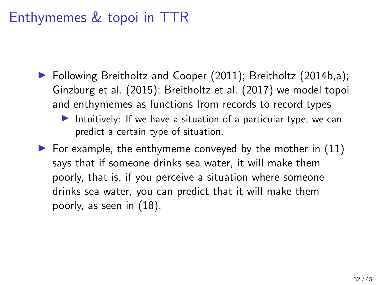## Enthymemes & topoi in TTR

- ▶ Following [Breitholtz and Cooper \(2011\)](#page-45-0); [Breitholtz \(2014b,](#page-45-5)[a\)](#page-45-2); [Ginzburg et al. \(2015\)](#page-48-5); [Breitholtz et al. \(2017\)](#page-46-5) we model topoi and enthymemes as functions from records to record types
	- Intuitively: If we have a situation of a particular type, we can predict a certain type of situation.
- $\triangleright$  For example, the enthymeme conveyed by the mother in [\(11\)](#page-21-0) says that if someone drinks sea water, it will make them poorly, that is, if you perceive a situation where someone drinks sea water, you can predict that it will make them poorly, as seen in [\(18\)](#page-32-0).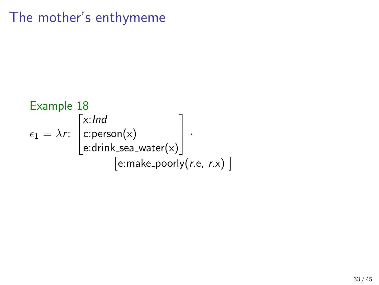## The mother's enthymeme

<span id="page-32-0"></span>Example 18  
\n
$$
\epsilon_1 = \lambda r: \begin{bmatrix} x: Ind \\ c:person(x) \\ e:drink\_sea\_water(x) \end{bmatrix}.
$$
\n[*e*:make\\_poorly(*r.e.*, *r.x*)]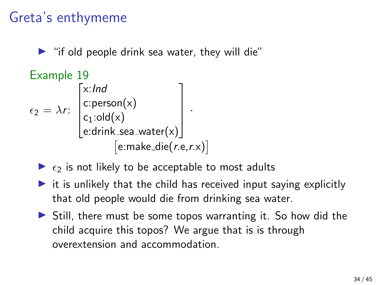# Greta's enthymeme

 $\blacktriangleright$  "if old people drink sea water, they will die"

Example 19

\n
$$
\epsilon_{2} = \lambda r: \begin{bmatrix} x: Ind \\ c:person(x) \\ c_{1}:old(x) \\ e:drink\_sea\_water(x) \end{bmatrix}.
$$
\n
$$
[e:make\_die(r.e, r.x)]
$$

Let 
$$
\text{Cov}(x) = \text{Cov}(x)
$$

\n[e:make\_die(*r.e.*,*r.x*)]

\n $\epsilon_2$  is not likely to be acceptable to most adults.

- $\triangleright$  it is unlikely that the child has received input saying explicitly that old people would die from drinking sea water.
- $\triangleright$  Still, there must be some topos warranting it. So how did the child acquire this topos? We argue that is is through overextension and accommodation.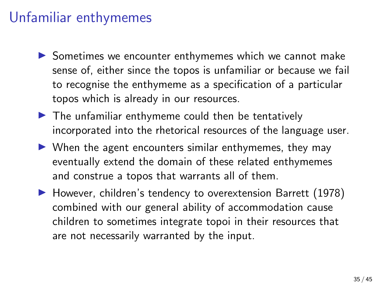## Unfamiliar enthymemes

- $\triangleright$  Sometimes we encounter enthymemes which we cannot make sense of, either since the topos is unfamiliar or because we fail to recognise the enthymeme as a specification of a particular topos which is already in our resources.
- $\blacktriangleright$  The unfamiliar enthymeme could then be tentatively incorporated into the rhetorical resources of the language user.
- $\triangleright$  When the agent encounters similar enthymemes, they may eventually extend the domain of these related enthymemes and construe a topos that warrants all of them.
- ▶ However, children's tendency to overextension [Barrett \(1978\)](#page-45-6) combined with our general ability of accommodation cause children to sometimes integrate topoi in their resources that are not necessarily warranted by the input.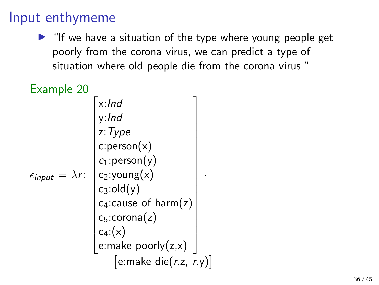### Input enthymeme

 $\blacktriangleright$  "If we have a situation of the type where young people get poorly from the corona virus, we can predict a type of situation where old people die from the corona virus "

| Example 20                       |                                     |  |
|----------------------------------|-------------------------------------|--|
|                                  | $x:$ Ind                            |  |
|                                  | y: Ind                              |  |
|                                  | z: Type                             |  |
|                                  | c:person(x)                         |  |
|                                  | $c_1$ : person(y)                   |  |
| $\epsilon_{input} = \lambda r$ : | $c_2$ :young(x)                     |  |
|                                  | $c_3:old(y)$                        |  |
|                                  | c <sub>4</sub> :cause_of_harm(z)    |  |
|                                  | $c_5$ :corona $(z)$                 |  |
|                                  | $c_4$ :(x)                          |  |
|                                  | $e:$ make_poorly $(z,x)$            |  |
|                                  | $[$ e:make_die $(r$ .z, $r$ .y) $]$ |  |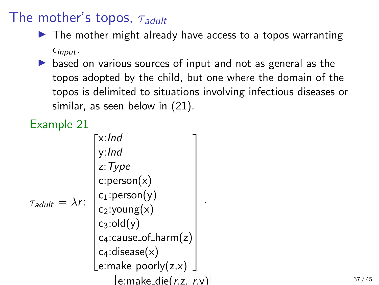# The mother's topos,  $\tau_{adult}$

- $\triangleright$  The mother might already have access to a topos warranting  $\epsilon_{input}$ .
- $\triangleright$  based on various sources of input and not as general as the topos adopted by the child, but one where the domain of the topos is delimited to situations involving infectious diseases or similar, as seen below in [\(21\)](#page-36-0).

## Example 21

<span id="page-36-0"></span>

|                              | x:Ind                          |
|------------------------------|--------------------------------|
| $\tau_{adult} = \lambda r$ : | y:Ind                          |
|                              | z: Type                        |
|                              | c:person(x)                    |
|                              | $c_1$ : person(y)              |
|                              | $c_2$ :young(x)                |
|                              | $c_3:$ old $(y)$               |
|                              | $c_4$ : cause_of_harm $(z)$    |
|                              | $c_4$ : disease $(x)$          |
|                              | $[$ e:make_poorly $(z,x)$      |
|                              | $e$ :make_die( $r$ .z, $r$ .y) |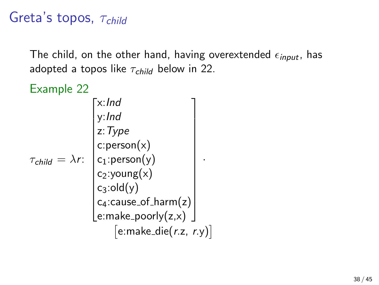# Greta's topos,  $\tau_{child}$

The child, on the other hand, having overextended  $\epsilon_{input}$ , has adopted a topos like  $\tau_{child}$  below in [22.](#page-37-0)

<span id="page-37-0"></span>Example 22  $\tau_{\mathsf{child}} = \lambda r$ :  $\sqrt{ }$  x:Ind y:Ind z:Type c:person $(\mathsf{x})$  $c_1$ :person $(y)$ c<sub>2</sub>:young $(x)$  $c_3$ :old $(y)$  $\mathsf{c}_4$ :cause\_of\_harm $(\mathsf{z})$ e:make\_poorly $(\mathsf{z},\mathsf{x})$ 1 ·  $[$ e:make\_die $(r.z, r.y)$ ]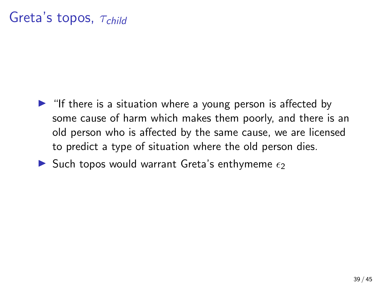# Greta's topos,  $\tau_{child}$

- $\blacktriangleright$  "If there is a situation where a young person is affected by some cause of harm which makes them poorly, and there is an old person who is affected by the same cause, we are licensed to predict a type of situation where the old person dies.
- Such topos would warrant Greta's enthymeme  $\epsilon_2$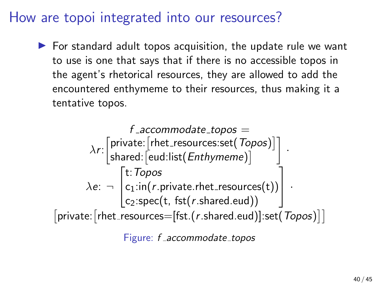### How are topoi integrated into our resources?

 $\triangleright$  For standard adult topos acquisition, the update rule we want to use is one that says that if there is no accessible topos in the agent's rhetorical resources, they are allowed to add the encountered enthymeme to their resources, thus making it a tentative topos.

$$
f\_accommodate\_topos =
$$
\n
$$
\lambda r: \begin{bmatrix} private: [rhet\_resources.set(Topos)] \\ shared: [eud:list(Enthymeme)] \end{bmatrix}.
$$
\n
$$
\lambda e: \neg \begin{bmatrix} t: Topos \\ c_1:inf(r.private.rhet\_resources(t)) \\ c_2:spec(t, fs(r.shared.edu)) \end{bmatrix}.
$$
\n
$$
[private: [rhet\_resources=[fst.(r.shared.edu)]:set(Topos)]]
$$

Figure: f \_accommodate\_topos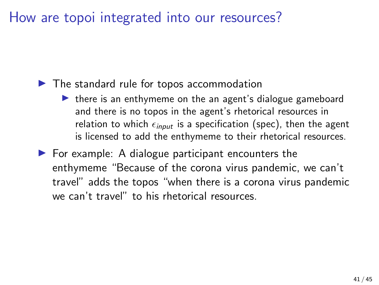### How are topoi integrated into our resources?

### $\blacktriangleright$  The standard rule for topos accommodation

- $\triangleright$  there is an enthymeme on the an agent's dialogue gameboard and there is no topos in the agent's rhetorical resources in relation to which  $\epsilon_{input}$  is a specification (spec), then the agent is licensed to add the enthymeme to their rhetorical resources.
- $\blacktriangleright$  For example: A dialogue participant encounters the enthymeme "Because of the corona virus pandemic, we can't travel" adds the topos "when there is a corona virus pandemic we can't travel" to his rhetorical resources.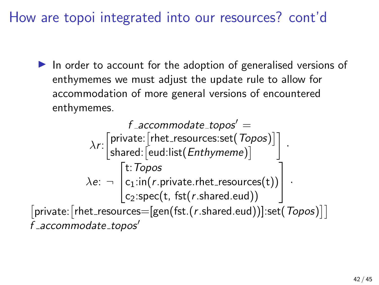How are topoi integrated into our resources? cont'd

 $\blacktriangleright$  In order to account for the adoption of generalised versions of enthymemes we must adjust the update rule to allow for accommodation of more general versions of encountered enthymemes.

$$
f\_accommodate\_topos' =
$$
\n
$$
\lambda r: \begin{bmatrix} \text{private:} \text{[rhet\_resources:set(} \text{Topos}) \text{]} \\ \text{shared:} \text{[eud:list(} \text{Enthymeme}) \text{]} \end{bmatrix}.
$$
\n
$$
\lambda e: \neg \begin{bmatrix} t: \text{Topos} \\ c_1: \text{in}(r.\text{private.rhet\_resources(t)}) \\ c_2: \text{spec}(t, \text{fst}(r.\text{shared.edu})) \end{bmatrix}.
$$
\n
$$
\begin{bmatrix} \text{private:} \text{[rhet\_resources=[gen(} \text{fst}(r.\text{shared.edu})) \text{]} \text{set(} \text{Topos}) \text{]} \text{]} \\ f\_accommodate\_topos' \end{bmatrix}
$$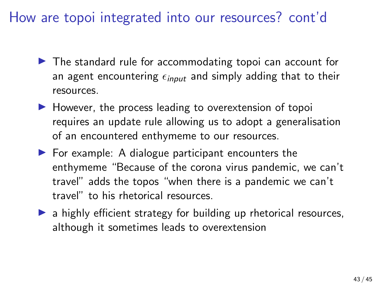## How are topoi integrated into our resources? cont'd

- $\blacktriangleright$  The standard rule for accommodating topoi can account for an agent encountering  $\epsilon_{input}$  and simply adding that to their resources.
- $\blacktriangleright$  However, the process leading to overextension of topoi requires an update rule allowing us to adopt a generalisation of an encountered enthymeme to our resources.
- $\blacktriangleright$  For example: A dialogue participant encounters the enthymeme "Because of the corona virus pandemic, we can't travel" adds the topos "when there is a pandemic we can't travel" to his rhetorical resources.
- $\triangleright$  a highly efficient strategy for building up rhetorical resources, although it sometimes leads to overextension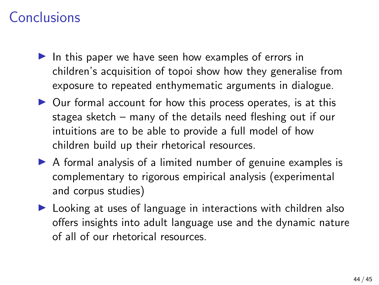## Conclusions

- $\blacktriangleright$  In this paper we have seen how examples of errors in children's acquisition of topoi show how they generalise from exposure to repeated enthymematic arguments in dialogue.
- $\triangleright$  Our formal account for how this process operates, is at this stagea sketch – many of the details need fleshing out if our intuitions are to be able to provide a full model of how children build up their rhetorical resources.
- $\triangleright$  A formal analysis of a limited number of genuine examples is complementary to rigorous empirical analysis (experimental and corpus studies)
- $\blacktriangleright$  Looking at uses of language in interactions with children also offers insights into adult language use and the dynamic nature of all of our rhetorical resources.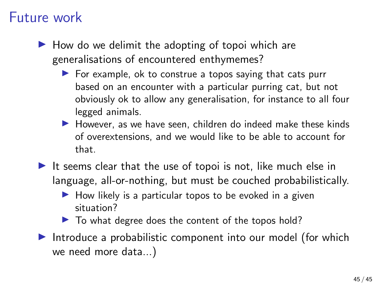### Future work

- $\blacktriangleright$  How do we delimit the adopting of topoi which are generalisations of encountered enthymemes?
	- $\triangleright$  For example, ok to construe a topos saying that cats purr based on an encounter with a particular purring cat, but not obviously ok to allow any generalisation, for instance to all four legged animals.
	- $\blacktriangleright$  However, as we have seen, children do indeed make these kinds of overextensions, and we would like to be able to account for that.
- It seems clear that the use of topoi is not, like much else in language, all-or-nothing, but must be couched probabilistically.
	- $\blacktriangleright$  How likely is a particular topos to be evoked in a given situation?
	- $\blacktriangleright$  To what degree does the content of the topos hold?
- Introduce a probabilistic component into our model (for which we need more data...)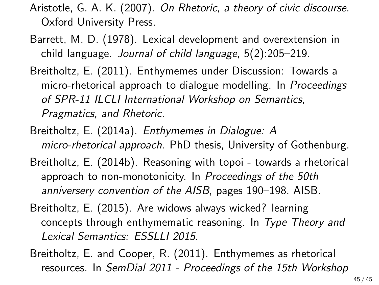- <span id="page-45-3"></span>Aristotle, G. A. K. (2007). On Rhetoric, a theory of civic discourse. Oxford University Press.
- <span id="page-45-6"></span>Barrett, M. D. (1978). Lexical development and overextension in child language. Journal of child language, 5(2):205–219.
- <span id="page-45-1"></span>Breitholtz, E. (2011). Enthymemes under Discussion: Towards a micro-rhetorical approach to dialogue modelling. In Proceedings of SPR-11 ILCLI International Workshop on Semantics, Pragmatics, and Rhetoric.
- <span id="page-45-2"></span>Breitholtz, E. (2014a). Enthymemes in Dialogue: A micro-rhetorical approach. PhD thesis, University of Gothenburg.
- <span id="page-45-5"></span>Breitholtz, E. (2014b). Reasoning with topoi - towards a rhetorical approach to non-monotonicity. In Proceedings of the 50th anniversery convention of the AISB, pages 190–198. AISB.
- <span id="page-45-4"></span>Breitholtz, E. (2015). Are widows always wicked? learning concepts through enthymematic reasoning. In Type Theory and Lexical Semantics: ESSLLI 2015.
- <span id="page-45-0"></span>Breitholtz, E. and Cooper, R. (2011). Enthymemes as rhetorical resources. In SemDial 2011 - Proceedings of the 15th Workshop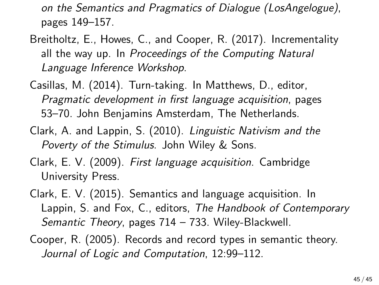on the Semantics and Pragmatics of Dialogue (LosAngelogue), pages 149–157.

- <span id="page-46-5"></span>Breitholtz, E., Howes, C., and Cooper, R. (2017). Incrementality all the way up. In Proceedings of the Computing Natural Language Inference Workshop.
- <span id="page-46-1"></span>Casillas, M. (2014). Turn-taking. In Matthews, D., editor, Pragmatic development in first language acquisition, pages 53–70. John Benjamins Amsterdam, The Netherlands.
- <span id="page-46-0"></span>Clark, A. and Lappin, S. (2010). Linguistic Nativism and the Poverty of the Stimulus. John Wiley & Sons.
- <span id="page-46-3"></span>Clark, E. V. (2009). First language acquisition. Cambridge University Press.
- <span id="page-46-2"></span>Clark, E. V. (2015). Semantics and language acquisition. In Lappin, S. and Fox, C., editors, The Handbook of Contemporary Semantic Theory, pages 714 – 733. Wiley-Blackwell.
- <span id="page-46-4"></span>Cooper, R. (2005). Records and record types in semantic theory. Journal of Logic and Computation, 12:99–112.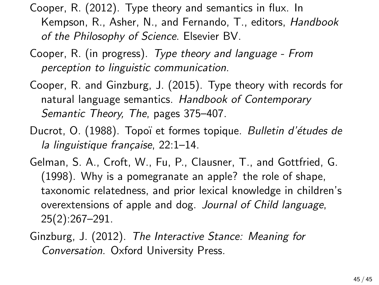<span id="page-47-5"></span>Cooper, R. (2012). Type theory and semantics in flux. In Kempson, R., Asher, N., and Fernando, T., editors, Handbook of the Philosophy of Science. Elsevier BV.

- <span id="page-47-4"></span>Cooper, R. (in progress). Type theory and language - From perception to linguistic communication.
- <span id="page-47-3"></span>Cooper, R. and Ginzburg, J. (2015). Type theory with records for natural language semantics. Handbook of Contemporary Semantic Theory, The, pages 375–407.
- <span id="page-47-0"></span>Ducrot, O. (1988). Topoï et formes topique. Bulletin d'études de la linguistique française, 22:1-14.
- <span id="page-47-1"></span>Gelman, S. A., Croft, W., Fu, P., Clausner, T., and Gottfried, G. (1998). Why is a pomegranate an apple? the role of shape, taxonomic relatedness, and prior lexical knowledge in children's overextensions of apple and dog. Journal of Child language, 25(2):267–291.
- <span id="page-47-2"></span>Ginzburg, J. (2012). The Interactive Stance: Meaning for Conversation. Oxford University Press.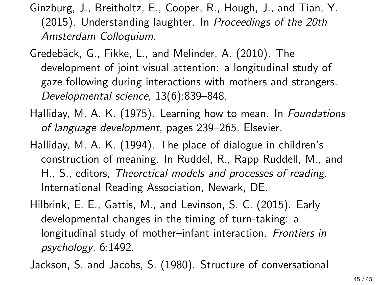<span id="page-48-5"></span>Ginzburg, J., Breitholtz, E., Cooper, R., Hough, J., and Tian, Y. (2015). Understanding laughter. In Proceedings of the 20th Amsterdam Colloquium.

<span id="page-48-3"></span>Gredebäck, G., Fikke, L., and Melinder, A. (2010). The development of joint visual attention: a longitudinal study of gaze following during interactions with mothers and strangers. Developmental science, 13(6):839–848.

- <span id="page-48-1"></span>Halliday, M. A. K. (1975). Learning how to mean. In Foundations of language development, pages 239–265. Elsevier.
- <span id="page-48-2"></span>Halliday, M. A. K. (1994). The place of dialogue in children's construction of meaning. In Ruddel, R., Rapp Ruddell, M., and H., S., editors, Theoretical models and processes of reading. International Reading Association, Newark, DE.
- <span id="page-48-4"></span>Hilbrink, E. E., Gattis, M., and Levinson, S. C. (2015). Early developmental changes in the timing of turn-taking: a longitudinal study of mother–infant interaction. Frontiers in psychology, 6:1492.

<span id="page-48-0"></span>Jackson, S. and Jacobs, S. (1980). Structure of conversational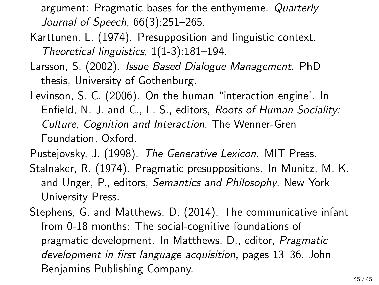argument: Pragmatic bases for the enthymeme. Quarterly Journal of Speech, 66(3):251–265.

- <span id="page-49-0"></span>Karttunen, L. (1974). Presupposition and linguistic context. Theoretical linguistics, 1(1-3):181–194.
- <span id="page-49-5"></span>Larsson, S. (2002). Issue Based Dialogue Management. PhD thesis, University of Gothenburg.
- <span id="page-49-3"></span>Levinson, S. C. (2006). On the human "interaction engine'. In Enfield, N. J. and C., L. S., editors, Roots of Human Sociality: Culture, Cognition and Interaction. The Wenner-Gren Foundation, Oxford.
- <span id="page-49-4"></span>Pustejovsky, J. (1998). The Generative Lexicon. MIT Press.
- <span id="page-49-1"></span>Stalnaker, R. (1974). Pragmatic presuppositions. In Munitz, M. K. and Unger, P., editors, Semantics and Philosophy. New York University Press.
- <span id="page-49-2"></span>Stephens, G. and Matthews, D. (2014). The communicative infant from 0-18 months: The social-cognitive foundations of pragmatic development. In Matthews, D., editor, Pragmatic development in first language acquisition, pages 13–36. John Benjamins Publishing Company.